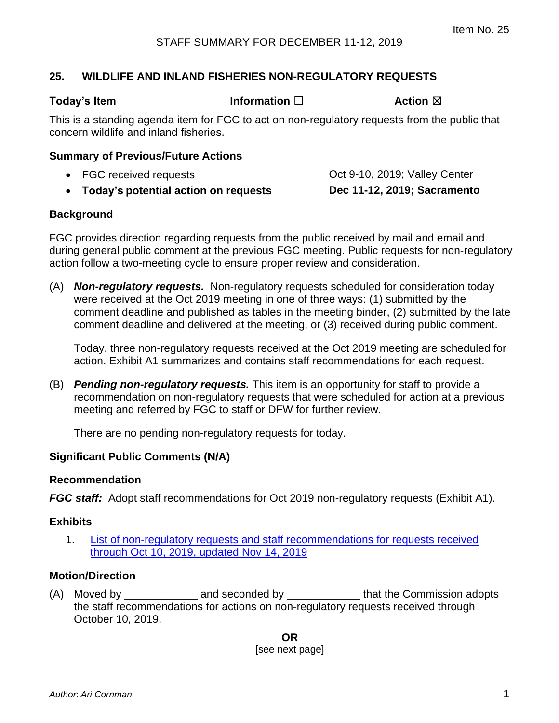# **25. WILDLIFE AND INLAND FISHERIES NON-REGULATORY REQUESTS**

**Today's Item Information □ Action ⊠** 

This is a standing agenda item for FGC to act on non-regulatory requests from the public that concern wildlife and inland fisheries.

#### **Summary of Previous/Future Actions**

| Today's potential action on requests<br>$\bullet$ | Dec 11-12, 2019; Sacramento   |
|---------------------------------------------------|-------------------------------|
| • FGC received requests                           | Oct 9-10, 2019; Valley Center |

## **Background**

FGC provides direction regarding requests from the public received by mail and email and during general public comment at the previous FGC meeting. Public requests for non-regulatory action follow a two-meeting cycle to ensure proper review and consideration.

(A) *Non-regulatory requests.* Non-regulatory requests scheduled for consideration today were received at the Oct 2019 meeting in one of three ways: (1) submitted by the comment deadline and published as tables in the meeting binder, (2) submitted by the late comment deadline and delivered at the meeting, or (3) received during public comment.

Today, three non-regulatory requests received at the Oct 2019 meeting are scheduled for action. Exhibit A1 summarizes and contains staff recommendations for each request.

(B) *Pending non-regulatory requests.* This item is an opportunity for staff to provide a recommendation on non-regulatory requests that were scheduled for action at a previous meeting and referred by FGC to staff or DFW for further review.

There are no pending non-regulatory requests for today.

### **Significant Public Comments (N/A)**

### **Recommendation**

*FGC staff:* Adopt staff recommendations for Oct 2019 non-regulatory requests (Exhibit A1).

#### **Exhibits**

1. [List of non-regulatory requests and staff recommendations for requests received](#page-2-0) [through Oct 10, 2019, updated Nov 14, 2019](#page-2-0)

#### **Motion/Direction**

(A) Moved by **EXECUTE:** And seconded by **EXECUTE:** that the Commission adopts the staff recommendations for actions on non-regulatory requests received through October 10, 2019.

> **OR** [see next page]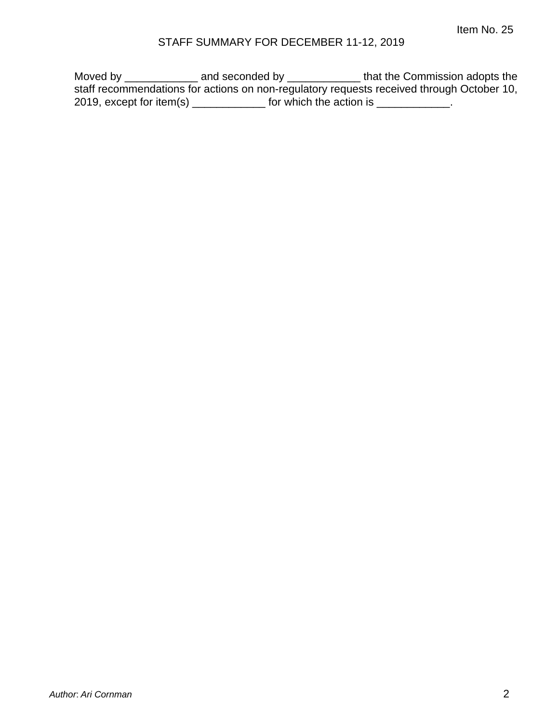# STAFF SUMMARY FOR DECEMBER 11-12, 2019

Moved by \_\_\_\_\_\_\_\_\_\_\_\_\_\_\_ and seconded by \_\_\_\_\_\_\_\_\_\_\_\_\_\_\_\_ that the Commission adopts the staff recommendations for actions on non-regulatory requests received through October 10, 2019, except for item(s)  $\frac{1}{2}$  for which the action is  $\frac{1}{2}$ .